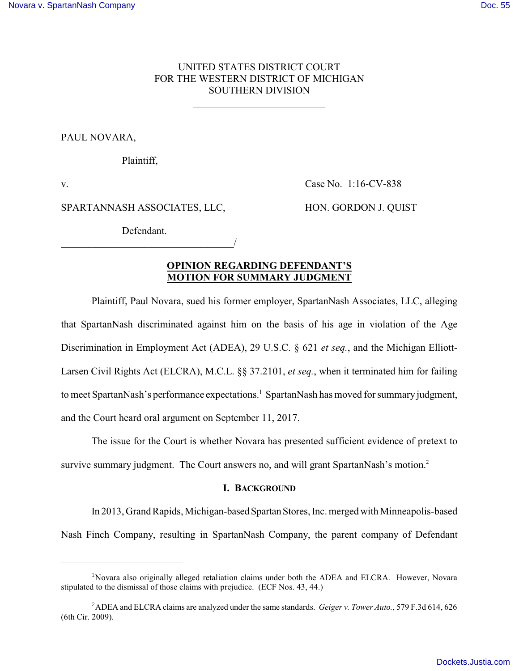## UNITED STATES DISTRICT COURT FOR THE WESTERN DISTRICT OF MICHIGAN SOUTHERN DIVISION

\_\_\_\_\_\_\_\_\_\_\_\_\_\_\_\_\_\_\_\_\_\_\_\_\_\_

PAUL NOVARA,

Plaintiff,

v. Case No. 1:16-CV-838

SPARTANNASH ASSOCIATES, LLC, HON. GORDON J. QUIST

Defendant. \_\_\_\_\_\_\_\_\_\_\_\_\_\_\_\_\_\_\_\_\_\_\_\_\_\_\_\_\_\_\_\_\_\_/

# **OPINION REGARDING DEFENDANT'S MOTION FOR SUMMARY JUDGMENT**

Plaintiff, Paul Novara, sued his former employer, SpartanNash Associates, LLC, alleging that SpartanNash discriminated against him on the basis of his age in violation of the Age Discrimination in Employment Act (ADEA), 29 U.S.C. § 621 *et seq.*, and the Michigan Elliott-Larsen Civil Rights Act (ELCRA), M.C.L. §§ 37.2101, *et seq.*, when it terminated him for failing to meet SpartanNash's performance expectations.<sup>1</sup> SpartanNash has moved for summary judgment, and the Court heard oral argument on September 11, 2017.

The issue for the Court is whether Novara has presented sufficient evidence of pretext to survive summary judgment. The Court answers no, and will grant SpartanNash's motion.<sup>2</sup>

### **I. BACKGROUND**

In 2013, Grand Rapids, Michigan-based Spartan Stores, Inc. merged with Minneapolis-based Nash Finch Company, resulting in SpartanNash Company, the parent company of Defendant

<sup>&</sup>lt;sup>1</sup>Novara also originally alleged retaliation claims under both the ADEA and ELCRA. However, Novara stipulated to the dismissal of those claims with prejudice. (ECF Nos. 43, 44.)

<sup>2</sup>ADEA and ELCRA claims are analyzed under the same standards. *Geiger v. Tower Auto.*, 579 F.3d 614, 626 (6th Cir. 2009).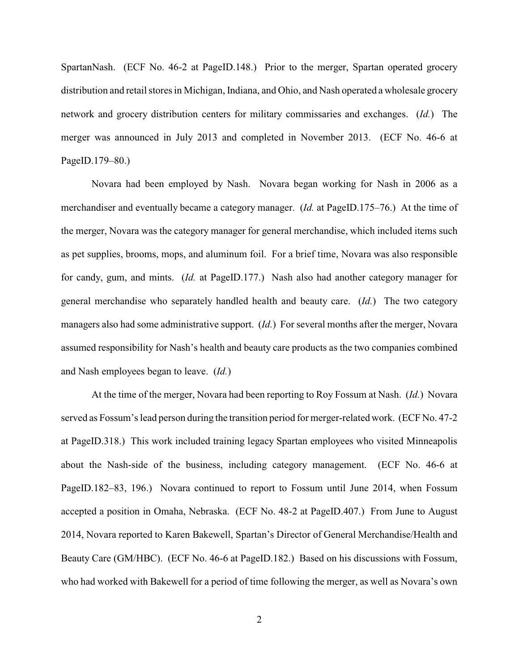SpartanNash. (ECF No. 46-2 at PageID.148.) Prior to the merger, Spartan operated grocery distribution and retail stores in Michigan, Indiana, and Ohio, and Nash operated a wholesale grocery network and grocery distribution centers for military commissaries and exchanges. (*Id.*) The merger was announced in July 2013 and completed in November 2013. (ECF No. 46-6 at PageID.179–80.)

Novara had been employed by Nash. Novara began working for Nash in 2006 as a merchandiser and eventually became a category manager. (*Id.* at PageID.175–76.) At the time of the merger, Novara was the category manager for general merchandise, which included items such as pet supplies, brooms, mops, and aluminum foil. For a brief time, Novara was also responsible for candy, gum, and mints. (*Id.* at PageID.177.) Nash also had another category manager for general merchandise who separately handled health and beauty care. (*Id.*) The two category managers also had some administrative support. (*Id.*) For several months after the merger, Novara assumed responsibility for Nash's health and beauty care products as the two companies combined and Nash employees began to leave. (*Id.*)

At the time of the merger, Novara had been reporting to Roy Fossum at Nash. (*Id.*) Novara served as Fossum's lead person during the transition period for merger-related work. (ECF No. 47-2 at PageID.318.) This work included training legacy Spartan employees who visited Minneapolis about the Nash-side of the business, including category management. (ECF No. 46-6 at PageID.182–83, 196.) Novara continued to report to Fossum until June 2014, when Fossum accepted a position in Omaha, Nebraska. (ECF No. 48-2 at PageID.407.) From June to August 2014, Novara reported to Karen Bakewell, Spartan's Director of General Merchandise/Health and Beauty Care (GM/HBC). (ECF No. 46-6 at PageID.182.) Based on his discussions with Fossum, who had worked with Bakewell for a period of time following the merger, as well as Novara's own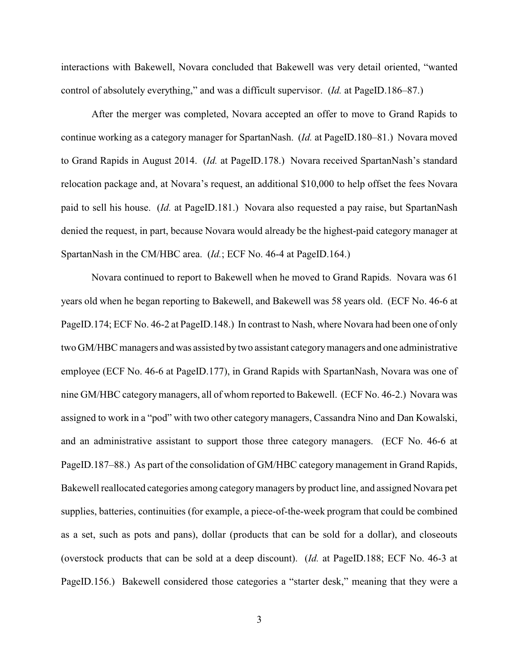interactions with Bakewell, Novara concluded that Bakewell was very detail oriented, "wanted control of absolutely everything," and was a difficult supervisor. (*Id.* at PageID.186–87.)

After the merger was completed, Novara accepted an offer to move to Grand Rapids to continue working as a category manager for SpartanNash. (*Id.* at PageID.180–81.) Novara moved to Grand Rapids in August 2014. (*Id.* at PageID.178.) Novara received SpartanNash's standard relocation package and, at Novara's request, an additional \$10,000 to help offset the fees Novara paid to sell his house. (*Id.* at PageID.181.) Novara also requested a pay raise, but SpartanNash denied the request, in part, because Novara would already be the highest-paid category manager at SpartanNash in the CM/HBC area. (*Id.*; ECF No. 46-4 at PageID.164.)

Novara continued to report to Bakewell when he moved to Grand Rapids. Novara was 61 years old when he began reporting to Bakewell, and Bakewell was 58 years old. (ECF No. 46-6 at PageID.174; ECF No. 46-2 at PageID.148.) In contrast to Nash, where Novara had been one of only two GM/HBC managers and was assisted by two assistant categorymanagers and one administrative employee (ECF No. 46-6 at PageID.177), in Grand Rapids with SpartanNash, Novara was one of nine GM/HBC categorymanagers, all of whom reported to Bakewell. (ECF No. 46-2.) Novara was assigned to work in a "pod" with two other category managers, Cassandra Nino and Dan Kowalski, and an administrative assistant to support those three category managers. (ECF No. 46-6 at PageID.187–88.) As part of the consolidation of GM/HBC category management in Grand Rapids, Bakewell reallocated categories among categorymanagers by product line, and assigned Novara pet supplies, batteries, continuities (for example, a piece-of-the-week program that could be combined as a set, such as pots and pans), dollar (products that can be sold for a dollar), and closeouts (overstock products that can be sold at a deep discount). (*Id.* at PageID.188; ECF No. 46-3 at PageID.156.) Bakewell considered those categories a "starter desk," meaning that they were a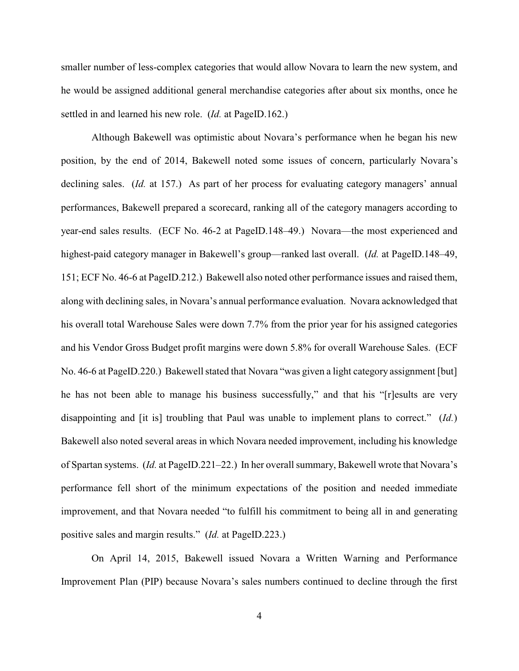smaller number of less-complex categories that would allow Novara to learn the new system, and he would be assigned additional general merchandise categories after about six months, once he settled in and learned his new role. (*Id.* at PageID.162.)

Although Bakewell was optimistic about Novara's performance when he began his new position, by the end of 2014, Bakewell noted some issues of concern, particularly Novara's declining sales. *(Id.* at 157.) As part of her process for evaluating category managers' annual performances, Bakewell prepared a scorecard, ranking all of the category managers according to year-end sales results. (ECF No. 46-2 at PageID.148–49.) Novara—the most experienced and highest-paid category manager in Bakewell's group—ranked last overall. (*Id.* at PageID.148–49, 151; ECF No. 46-6 at PageID.212.) Bakewell also noted other performance issues and raised them, along with declining sales, in Novara's annual performance evaluation. Novara acknowledged that his overall total Warehouse Sales were down 7.7% from the prior year for his assigned categories and his Vendor Gross Budget profit margins were down 5.8% for overall Warehouse Sales. (ECF No. 46-6 at PageID.220.) Bakewell stated that Novara "was given a light category assignment [but] he has not been able to manage his business successfully," and that his "[r]esults are very disappointing and [it is] troubling that Paul was unable to implement plans to correct." (*Id.*) Bakewell also noted several areas in which Novara needed improvement, including his knowledge of Spartan systems. (*Id.* at PageID.221–22.) In her overall summary, Bakewell wrote that Novara's performance fell short of the minimum expectations of the position and needed immediate improvement, and that Novara needed "to fulfill his commitment to being all in and generating positive sales and margin results." (*Id.* at PageID.223.)

On April 14, 2015, Bakewell issued Novara a Written Warning and Performance Improvement Plan (PIP) because Novara's sales numbers continued to decline through the first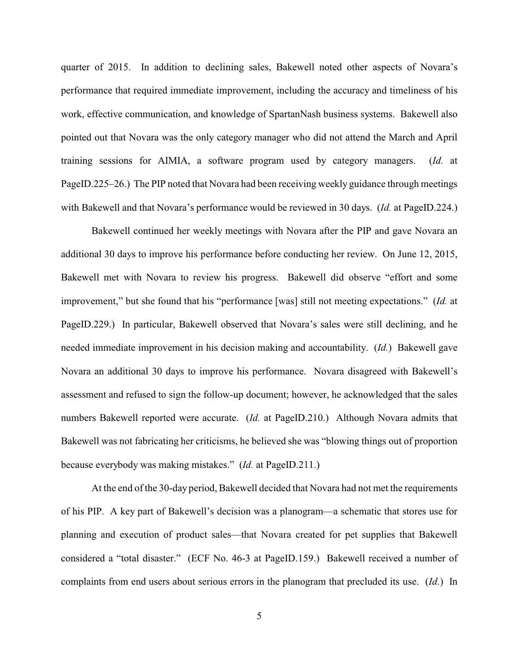quarter of 2015. In addition to declining sales, Bakewell noted other aspects of Novara's performance that required immediate improvement, including the accuracy and timeliness of his work, effective communication, and knowledge of SpartanNash business systems. Bakewell also pointed out that Novara was the only category manager who did not attend the March and April training sessions for AIMIA, a software program used by category managers. (*Id.* at PageID.225–26.) The PIP noted that Novara had been receiving weekly guidance through meetings with Bakewell and that Novara's performance would be reviewed in 30 days. (*Id.* at PageID.224.)

Bakewell continued her weekly meetings with Novara after the PIP and gave Novara an additional 30 days to improve his performance before conducting her review. On June 12, 2015, Bakewell met with Novara to review his progress. Bakewell did observe "effort and some improvement," but she found that his "performance [was] still not meeting expectations." (*Id.* at PageID.229.) In particular, Bakewell observed that Novara's sales were still declining, and he needed immediate improvement in his decision making and accountability. (*Id.*) Bakewell gave Novara an additional 30 days to improve his performance. Novara disagreed with Bakewell's assessment and refused to sign the follow-up document; however, he acknowledged that the sales numbers Bakewell reported were accurate. (*Id.* at PageID.210.) Although Novara admits that Bakewell was not fabricating her criticisms, he believed she was "blowing things out of proportion because everybody was making mistakes." (*Id.* at PageID.211.)

At the end of the 30-day period, Bakewell decided that Novara had not met the requirements of his PIP. A key part of Bakewell's decision was a planogram—a schematic that stores use for planning and execution of product sales—that Novara created for pet supplies that Bakewell considered a "total disaster." (ECF No. 46-3 at PageID.159.) Bakewell received a number of complaints from end users about serious errors in the planogram that precluded its use. (*Id.*) In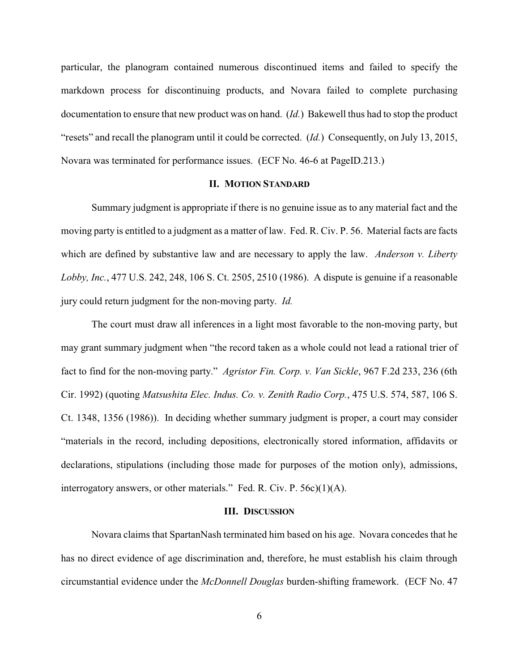particular, the planogram contained numerous discontinued items and failed to specify the markdown process for discontinuing products, and Novara failed to complete purchasing documentation to ensure that new product was on hand. (*Id.*) Bakewell thus had to stop the product "resets" and recall the planogram until it could be corrected. (*Id.*) Consequently, on July 13, 2015, Novara was terminated for performance issues. (ECF No. 46-6 at PageID.213.)

### **II. MOTION STANDARD**

Summary judgment is appropriate if there is no genuine issue as to any material fact and the moving party is entitled to a judgment as a matter of law. Fed. R. Civ. P. 56. Material facts are facts which are defined by substantive law and are necessary to apply the law. *Anderson v. Liberty Lobby, Inc.*, 477 U.S. 242, 248, 106 S. Ct. 2505, 2510 (1986). A dispute is genuine if a reasonable jury could return judgment for the non-moving party. *Id.*

The court must draw all inferences in a light most favorable to the non-moving party, but may grant summary judgment when "the record taken as a whole could not lead a rational trier of fact to find for the non-moving party." *Agristor Fin. Corp. v. Van Sickle*, 967 F.2d 233, 236 (6th Cir. 1992) (quoting *Matsushita Elec. Indus. Co. v. Zenith Radio Corp.*, 475 U.S. 574, 587, 106 S. Ct. 1348, 1356 (1986)). In deciding whether summary judgment is proper, a court may consider "materials in the record, including depositions, electronically stored information, affidavits or declarations, stipulations (including those made for purposes of the motion only), admissions, interrogatory answers, or other materials." Fed. R. Civ. P. 56c)(1)(A).

#### **III. DISCUSSION**

Novara claims that SpartanNash terminated him based on his age. Novara concedes that he has no direct evidence of age discrimination and, therefore, he must establish his claim through circumstantial evidence under the *McDonnell Douglas* burden-shifting framework. (ECF No. 47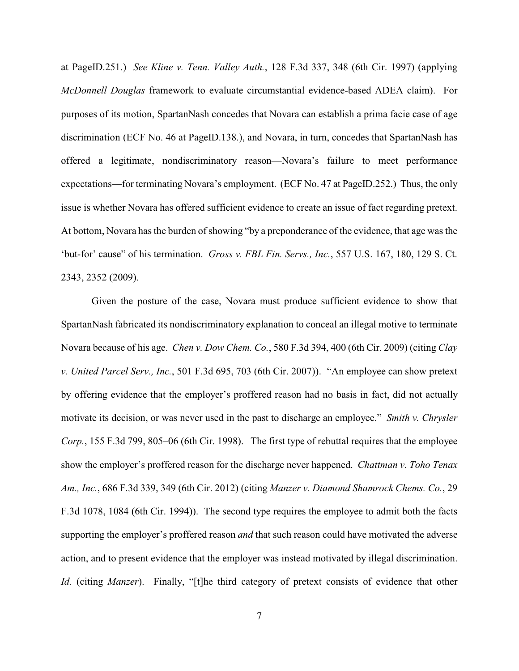at PageID.251.) *See Kline v. Tenn. Valley Auth.*, 128 F.3d 337, 348 (6th Cir. 1997) (applying *McDonnell Douglas* framework to evaluate circumstantial evidence-based ADEA claim). For purposes of its motion, SpartanNash concedes that Novara can establish a prima facie case of age discrimination (ECF No. 46 at PageID.138.), and Novara, in turn, concedes that SpartanNash has offered a legitimate, nondiscriminatory reason—Novara's failure to meet performance expectations—for terminating Novara's employment. (ECF No. 47 at PageID.252.) Thus, the only issue is whether Novara has offered sufficient evidence to create an issue of fact regarding pretext. At bottom, Novara has the burden of showing "by a preponderance of the evidence, that age was the 'but-for' cause" of his termination. *Gross v. FBL Fin. Servs., Inc.*, 557 U.S. 167, 180, 129 S. Ct. 2343, 2352 (2009).

Given the posture of the case, Novara must produce sufficient evidence to show that SpartanNash fabricated its nondiscriminatory explanation to conceal an illegal motive to terminate Novara because of his age. *Chen v. Dow Chem. Co.*, 580 F.3d 394, 400 (6th Cir. 2009) (citing *Clay v. United Parcel Serv., Inc.*, 501 F.3d 695, 703 (6th Cir. 2007)). "An employee can show pretext by offering evidence that the employer's proffered reason had no basis in fact, did not actually motivate its decision, or was never used in the past to discharge an employee." *Smith v. Chrysler Corp.*, 155 F.3d 799, 805–06 (6th Cir. 1998). The first type of rebuttal requires that the employee show the employer's proffered reason for the discharge never happened. *Chattman v. Toho Tenax Am., Inc.*, 686 F.3d 339, 349 (6th Cir. 2012) (citing *Manzer v. Diamond Shamrock Chems. Co.*, 29 F.3d 1078, 1084 (6th Cir. 1994)). The second type requires the employee to admit both the facts supporting the employer's proffered reason *and* that such reason could have motivated the adverse action, and to present evidence that the employer was instead motivated by illegal discrimination. *Id.* (citing *Manzer*). Finally, "[t]he third category of pretext consists of evidence that other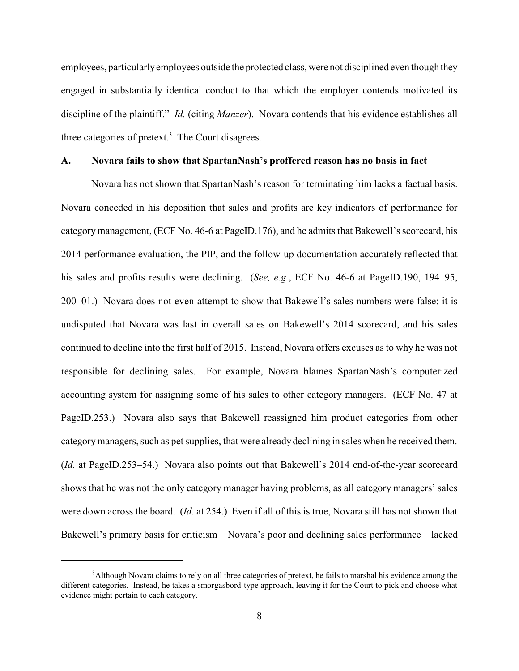employees, particularlyemployees outside the protected class, were not disciplined even though they engaged in substantially identical conduct to that which the employer contends motivated its discipline of the plaintiff." *Id.* (citing *Manzer*). Novara contends that his evidence establishes all three categories of pretext. $3$  The Court disagrees.

### **A. Novara fails to show that SpartanNash's proffered reason has no basis in fact**

Novara has not shown that SpartanNash's reason for terminating him lacks a factual basis. Novara conceded in his deposition that sales and profits are key indicators of performance for category management, (ECF No. 46-6 at PageID.176), and he admits that Bakewell's scorecard, his 2014 performance evaluation, the PIP, and the follow-up documentation accurately reflected that his sales and profits results were declining. (*See, e.g.*, ECF No. 46-6 at PageID.190, 194–95, 200–01.) Novara does not even attempt to show that Bakewell's sales numbers were false: it is undisputed that Novara was last in overall sales on Bakewell's 2014 scorecard, and his sales continued to decline into the first half of 2015. Instead, Novara offers excuses as to why he was not responsible for declining sales. For example, Novara blames SpartanNash's computerized accounting system for assigning some of his sales to other category managers. (ECF No. 47 at PageID.253.) Novara also says that Bakewell reassigned him product categories from other categorymanagers, such as pet supplies, that were already declining in sales when he received them. (*Id.* at PageID.253–54.) Novara also points out that Bakewell's 2014 end-of-the-year scorecard shows that he was not the only category manager having problems, as all category managers' sales were down across the board. (*Id.* at 254.) Even if all of this is true, Novara still has not shown that Bakewell's primary basis for criticism—Novara's poor and declining sales performance—lacked

<sup>&</sup>lt;sup>3</sup>Although Novara claims to rely on all three categories of pretext, he fails to marshal his evidence among the different categories. Instead, he takes a smorgasbord-type approach, leaving it for the Court to pick and choose what evidence might pertain to each category.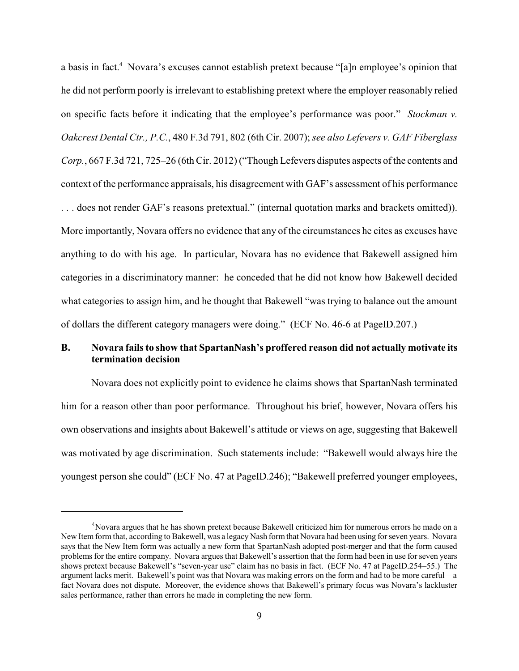a basis in fact.<sup>4</sup> Novara's excuses cannot establish pretext because "[a]n employee's opinion that he did not perform poorly is irrelevant to establishing pretext where the employer reasonably relied on specific facts before it indicating that the employee's performance was poor." *Stockman v. Oakcrest Dental Ctr., P.C.*, 480 F.3d 791, 802 (6th Cir. 2007); *see also Lefevers v. GAF Fiberglass Corp.*, 667 F.3d 721, 725–26 (6th Cir. 2012) ("Though Lefevers disputes aspects of the contents and context of the performance appraisals, his disagreement with GAF's assessment of his performance . . . does not render GAF's reasons pretextual." (internal quotation marks and brackets omitted)). More importantly, Novara offers no evidence that any of the circumstances he cites as excuses have anything to do with his age. In particular, Novara has no evidence that Bakewell assigned him categories in a discriminatory manner: he conceded that he did not know how Bakewell decided what categories to assign him, and he thought that Bakewell "was trying to balance out the amount of dollars the different category managers were doing." (ECF No. 46-6 at PageID.207.)

# **B. Novara fails to show that SpartanNash's proffered reason did not actually motivate its termination decision**

Novara does not explicitly point to evidence he claims shows that SpartanNash terminated him for a reason other than poor performance. Throughout his brief, however, Novara offers his own observations and insights about Bakewell's attitude or views on age, suggesting that Bakewell was motivated by age discrimination. Such statements include: "Bakewell would always hire the youngest person she could" (ECF No. 47 at PageID.246); "Bakewell preferred younger employees,

 $4$ Novara argues that he has shown pretext because Bakewell criticized him for numerous errors he made on a New Item form that, according to Bakewell, was a legacy Nash formthat Novara had been using for seven years. Novara says that the New Item form was actually a new form that SpartanNash adopted post-merger and that the form caused problems for the entire company. Novara argues that Bakewell's assertion that the form had been in use for seven years shows pretext because Bakewell's "seven-year use" claim has no basis in fact. (ECF No. 47 at PageID.254–55.) The argument lacks merit. Bakewell's point was that Novara was making errors on the form and had to be more careful—a fact Novara does not dispute. Moreover, the evidence shows that Bakewell's primary focus was Novara's lackluster sales performance, rather than errors he made in completing the new form.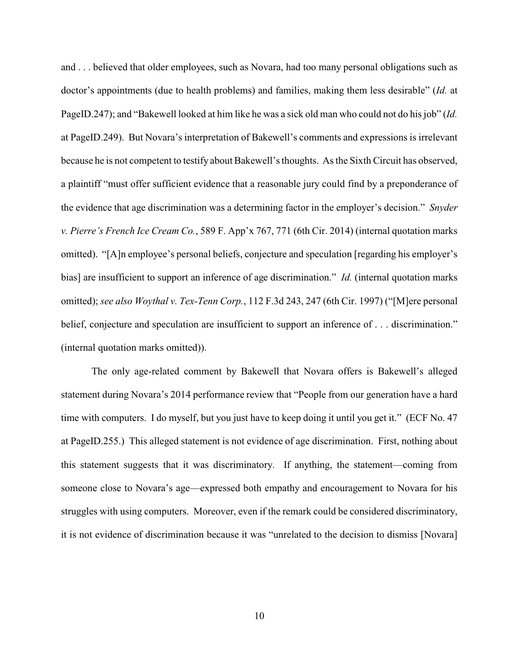and . . . believed that older employees, such as Novara, had too many personal obligations such as doctor's appointments (due to health problems) and families, making them less desirable" (*Id.* at PageID.247); and "Bakewell looked at him like he was a sick old man who could not do his job" (*Id.* at PageID.249). But Novara's interpretation of Bakewell's comments and expressions is irrelevant because he is not competent to testify about Bakewell's thoughts. As the Sixth Circuit has observed, a plaintiff "must offer sufficient evidence that a reasonable jury could find by a preponderance of the evidence that age discrimination was a determining factor in the employer's decision." *Snyder v. Pierre's French Ice Cream Co.*, 589 F. App'x 767, 771 (6th Cir. 2014) (internal quotation marks omitted). "[A]n employee's personal beliefs, conjecture and speculation [regarding his employer's bias] are insufficient to support an inference of age discrimination." *Id.* (internal quotation marks omitted); *see also Woythal v. Tex-Tenn Corp.*, 112 F.3d 243, 247 (6th Cir. 1997) ("[M]ere personal belief, conjecture and speculation are insufficient to support an inference of ... discrimination." (internal quotation marks omitted)).

The only age-related comment by Bakewell that Novara offers is Bakewell's alleged statement during Novara's 2014 performance review that "People from our generation have a hard time with computers. I do myself, but you just have to keep doing it until you get it." (ECF No. 47 at PageID.255.) This alleged statement is not evidence of age discrimination. First, nothing about this statement suggests that it was discriminatory. If anything, the statement—coming from someone close to Novara's age—expressed both empathy and encouragement to Novara for his struggles with using computers. Moreover, even if the remark could be considered discriminatory, it is not evidence of discrimination because it was "unrelated to the decision to dismiss [Novara]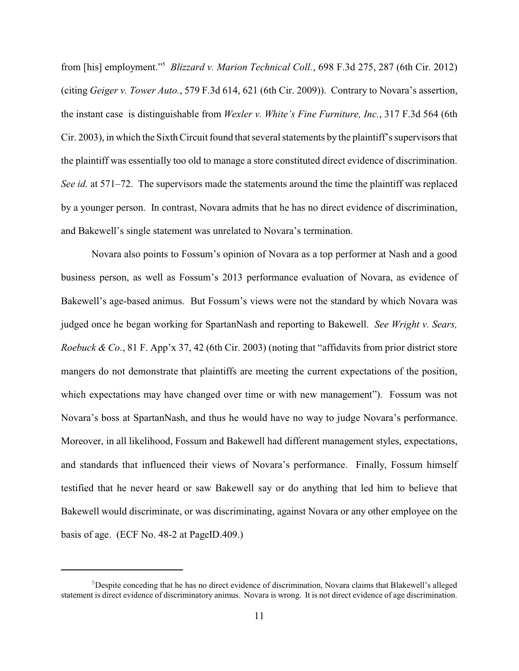from [his] employment."<sup>5</sup> *Blizzard v. Marion Technical Coll.*, 698 F.3d 275, 287 (6th Cir. 2012) (citing *Geiger v. Tower Auto.*, 579 F.3d 614, 621 (6th Cir. 2009)). Contrary to Novara's assertion, the instant case is distinguishable from *Wexler v. White's Fine Furniture, Inc.*, 317 F.3d 564 (6th Cir. 2003), in which the Sixth Circuit found that several statements by the plaintiff's supervisors that the plaintiff was essentially too old to manage a store constituted direct evidence of discrimination. *See id.* at 571–72. The supervisors made the statements around the time the plaintiff was replaced by a younger person. In contrast, Novara admits that he has no direct evidence of discrimination, and Bakewell's single statement was unrelated to Novara's termination.

Novara also points to Fossum's opinion of Novara as a top performer at Nash and a good business person, as well as Fossum's 2013 performance evaluation of Novara, as evidence of Bakewell's age-based animus. But Fossum's views were not the standard by which Novara was judged once he began working for SpartanNash and reporting to Bakewell. *See Wright v. Sears, Roebuck & Co.*, 81 F. App'x 37, 42 (6th Cir. 2003) (noting that "affidavits from prior district store mangers do not demonstrate that plaintiffs are meeting the current expectations of the position, which expectations may have changed over time or with new management"). Fossum was not Novara's boss at SpartanNash, and thus he would have no way to judge Novara's performance. Moreover, in all likelihood, Fossum and Bakewell had different management styles, expectations, and standards that influenced their views of Novara's performance. Finally, Fossum himself testified that he never heard or saw Bakewell say or do anything that led him to believe that Bakewell would discriminate, or was discriminating, against Novara or any other employee on the basis of age. (ECF No. 48-2 at PageID.409.)

 $5$ Despite conceding that he has no direct evidence of discrimination, Novara claims that Blakewell's alleged statement is direct evidence of discriminatory animus. Novara is wrong. It is not direct evidence of age discrimination.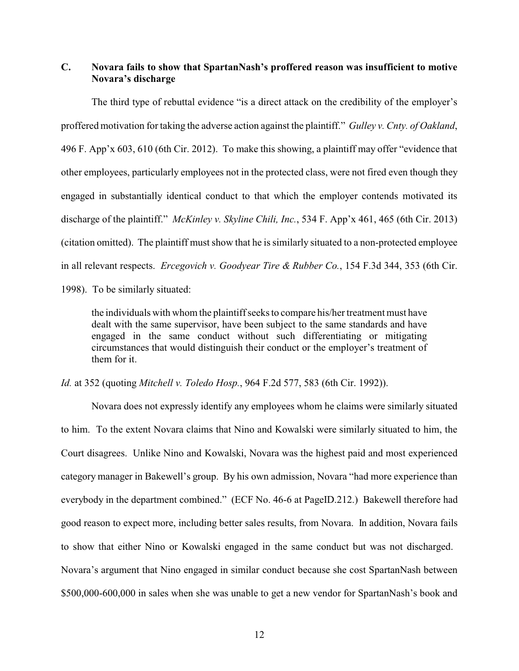# **C. Novara fails to show that SpartanNash's proffered reason was insufficient to motive Novara's discharge**

The third type of rebuttal evidence "is a direct attack on the credibility of the employer's proffered motivation for taking the adverse action against the plaintiff." *Gulley v. Cnty. of Oakland*, 496 F. App'x 603, 610 (6th Cir. 2012). To make this showing, a plaintiff may offer "evidence that other employees, particularly employees not in the protected class, were not fired even though they engaged in substantially identical conduct to that which the employer contends motivated its discharge of the plaintiff." *McKinley v. Skyline Chili, Inc.*, 534 F. App'x 461, 465 (6th Cir. 2013) (citation omitted). The plaintiff must show that he is similarly situated to a non-protected employee in all relevant respects. *Ercegovich v. Goodyear Tire & Rubber Co.*, 154 F.3d 344, 353 (6th Cir. 1998). To be similarly situated:

the individuals with whom the plaintiff seeks to compare his/her treatment must have dealt with the same supervisor, have been subject to the same standards and have engaged in the same conduct without such differentiating or mitigating circumstances that would distinguish their conduct or the employer's treatment of them for it.

*Id.* at 352 (quoting *Mitchell v. Toledo Hosp.*, 964 F.2d 577, 583 (6th Cir. 1992)).

Novara does not expressly identify any employees whom he claims were similarly situated to him. To the extent Novara claims that Nino and Kowalski were similarly situated to him, the Court disagrees. Unlike Nino and Kowalski, Novara was the highest paid and most experienced category manager in Bakewell's group. By his own admission, Novara "had more experience than everybody in the department combined." (ECF No. 46-6 at PageID.212.) Bakewell therefore had good reason to expect more, including better sales results, from Novara. In addition, Novara fails to show that either Nino or Kowalski engaged in the same conduct but was not discharged. Novara's argument that Nino engaged in similar conduct because she cost SpartanNash between \$500,000-600,000 in sales when she was unable to get a new vendor for SpartanNash's book and